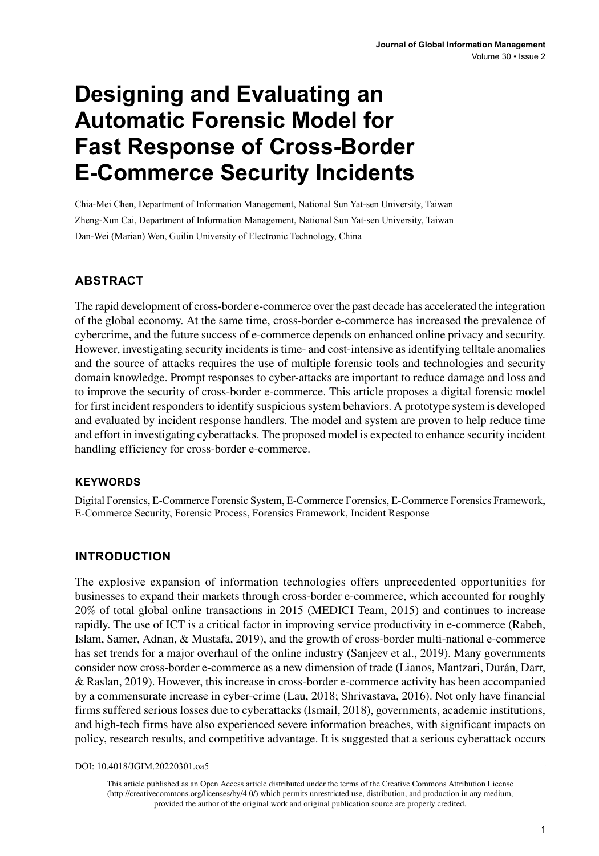# **Designing and Evaluating an Automatic Forensic Model for Fast Response of Cross-Border E-Commerce Security Incidents**

Chia-Mei Chen, Department of Information Management, National Sun Yat-sen University, Taiwan Zheng-Xun Cai, Department of Information Management, National Sun Yat-sen University, Taiwan Dan-Wei (Marian) Wen, Guilin University of Electronic Technology, China

#### **ABSTRACT**

The rapid development of cross-border e-commerce over the past decade has accelerated the integration of the global economy. At the same time, cross-border e-commerce has increased the prevalence of cybercrime, and the future success of e-commerce depends on enhanced online privacy and security. However, investigating security incidents is time- and cost-intensive as identifying telltale anomalies and the source of attacks requires the use of multiple forensic tools and technologies and security domain knowledge. Prompt responses to cyber-attacks are important to reduce damage and loss and to improve the security of cross-border e-commerce. This article proposes a digital forensic model for first incident responders to identify suspicious system behaviors. A prototype system is developed and evaluated by incident response handlers. The model and system are proven to help reduce time and effort in investigating cyberattacks. The proposed model is expected to enhance security incident handling efficiency for cross-border e-commerce.

#### **Keywords**

Digital Forensics, E-Commerce Forensic System, E-Commerce Forensics, E-Commerce Forensics Framework, E-Commerce Security, Forensic Process, Forensics Framework, Incident Response

#### **INTRODUCTION**

The explosive expansion of information technologies offers unprecedented opportunities for businesses to expand their markets through cross-border e-commerce, which accounted for roughly 20% of total global online transactions in 2015 (MEDICI Team, 2015) and continues to increase rapidly. The use of ICT is a critical factor in improving service productivity in e-commerce (Rabeh, Islam, Samer, Adnan, & Mustafa, 2019), and the growth of cross-border multi-national e-commerce has set trends for a major overhaul of the online industry (Sanjeev et al., 2019). Many governments consider now cross-border e-commerce as a new dimension of trade (Lianos, Mantzari, Durán, Darr, & Raslan, 2019). However, this increase in cross-border e-commerce activity has been accompanied by a commensurate increase in cyber-crime (Lau, 2018; Shrivastava, 2016). Not only have financial firms suffered serious losses due to cyberattacks (Ismail, 2018), governments, academic institutions, and high-tech firms have also experienced severe information breaches, with significant impacts on policy, research results, and competitive advantage. It is suggested that a serious cyberattack occurs

DOI: 10.4018/JGIM.20220301.oa5

This article published as an Open Access article distributed under the terms of the Creative Commons Attribution License (http://creativecommons.org/licenses/by/4.0/) which permits unrestricted use, distribution, and production in any medium, provided the author of the original work and original publication source are properly credited.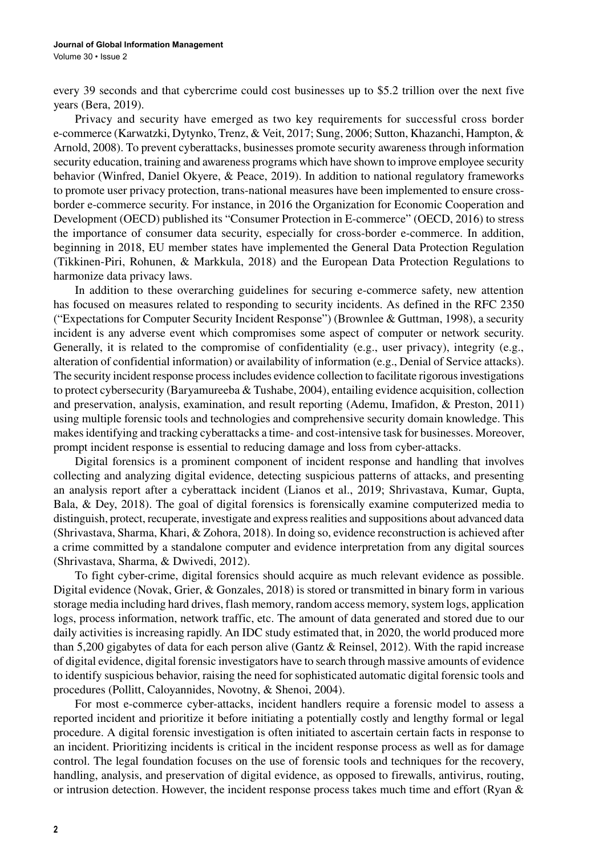every 39 seconds and that cybercrime could cost businesses up to \$5.2 trillion over the next five years (Bera, 2019).

Privacy and security have emerged as two key requirements for successful cross border e-commerce (Karwatzki, Dytynko, Trenz, & Veit, 2017; Sung, 2006; Sutton, Khazanchi, Hampton, & Arnold, 2008). To prevent cyberattacks, businesses promote security awareness through information security education, training and awareness programs which have shown to improve employee security behavior (Winfred, Daniel Okyere, & Peace, 2019). In addition to national regulatory frameworks to promote user privacy protection, trans-national measures have been implemented to ensure crossborder e-commerce security. For instance, in 2016 the Organization for Economic Cooperation and Development (OECD) published its "Consumer Protection in E-commerce" (OECD, 2016) to stress the importance of consumer data security, especially for cross-border e-commerce. In addition, beginning in 2018, EU member states have implemented the General Data Protection Regulation (Tikkinen-Piri, Rohunen, & Markkula, 2018) and the European Data Protection Regulations to harmonize data privacy laws.

In addition to these overarching guidelines for securing e-commerce safety, new attention has focused on measures related to responding to security incidents. As defined in the RFC 2350 ("Expectations for Computer Security Incident Response") (Brownlee & Guttman, 1998), a security incident is any adverse event which compromises some aspect of computer or network security. Generally, it is related to the compromise of confidentiality (e.g., user privacy), integrity (e.g., alteration of confidential information) or availability of information (e.g., Denial of Service attacks). The security incident response process includes evidence collection to facilitate rigorous investigations to protect cybersecurity (Baryamureeba & Tushabe, 2004), entailing evidence acquisition, collection and preservation, analysis, examination, and result reporting (Ademu, Imafidon, & Preston, 2011) using multiple forensic tools and technologies and comprehensive security domain knowledge. This makes identifying and tracking cyberattacks a time- and cost-intensive task for businesses. Moreover, prompt incident response is essential to reducing damage and loss from cyber-attacks.

Digital forensics is a prominent component of incident response and handling that involves collecting and analyzing digital evidence, detecting suspicious patterns of attacks, and presenting an analysis report after a cyberattack incident (Lianos et al., 2019; Shrivastava, Kumar, Gupta, Bala, & Dey, 2018). The goal of digital forensics is forensically examine computerized media to distinguish, protect, recuperate, investigate and express realities and suppositions about advanced data (Shrivastava, Sharma, Khari, & Zohora, 2018). In doing so, evidence reconstruction is achieved after a crime committed by a standalone computer and evidence interpretation from any digital sources (Shrivastava, Sharma, & Dwivedi, 2012).

To fight cyber-crime, digital forensics should acquire as much relevant evidence as possible. Digital evidence (Novak, Grier, & Gonzales, 2018) is stored or transmitted in binary form in various storage media including hard drives, flash memory, random access memory, system logs, application logs, process information, network traffic, etc. The amount of data generated and stored due to our daily activities is increasing rapidly. An IDC study estimated that, in 2020, the world produced more than 5,200 gigabytes of data for each person alive (Gantz & Reinsel, 2012). With the rapid increase of digital evidence, digital forensic investigators have to search through massive amounts of evidence to identify suspicious behavior, raising the need for sophisticated automatic digital forensic tools and procedures (Pollitt, Caloyannides, Novotny, & Shenoi, 2004).

For most e-commerce cyber-attacks, incident handlers require a forensic model to assess a reported incident and prioritize it before initiating a potentially costly and lengthy formal or legal procedure. A digital forensic investigation is often initiated to ascertain certain facts in response to an incident. Prioritizing incidents is critical in the incident response process as well as for damage control. The legal foundation focuses on the use of forensic tools and techniques for the recovery, handling, analysis, and preservation of digital evidence, as opposed to firewalls, antivirus, routing, or intrusion detection. However, the incident response process takes much time and effort (Ryan &